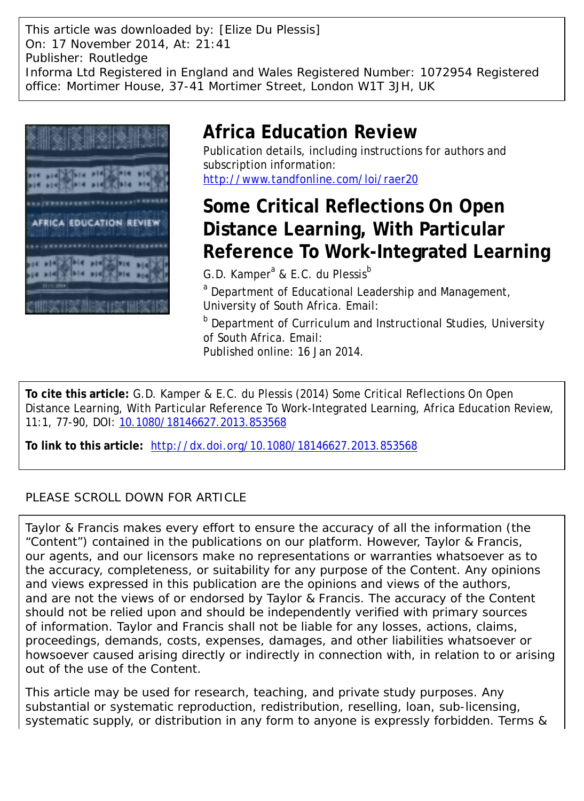This article was downloaded by: [Elize Du Plessis] On: 17 November 2014, At: 21:41 Publisher: Routledge Informa Ltd Registered in England and Wales Registered Number: 1072954 Registered office: Mortimer House, 37-41 Mortimer Street, London W1T 3JH, UK



# **Africa Education Review**

Publication details, including instructions for authors and subscription information: <http://www.tandfonline.com/loi/raer20>

# **Some Critical Reflections On Open Distance Learning, With Particular Reference To Work-Integrated Learning**

G.D. Kamper<sup>a</sup> & E.C. du Plessis<sup>b</sup>

<sup>a</sup> Department of Educational Leadership and Management, University of South Africa. Email:

**b** Department of Curriculum and Instructional Studies, University of South Africa. Email: Published online: 16 Jan 2014.

**To cite this article:** G.D. Kamper & E.C. du Plessis (2014) Some Critical Reflections On Open Distance Learning, With Particular Reference To Work-Integrated Learning, Africa Education Review, 11:1, 77-90, DOI: [10.1080/18146627.2013.853568](http://www.tandfonline.com/action/showCitFormats?doi=10.1080/18146627.2013.853568)

**To link to this article:** <http://dx.doi.org/10.1080/18146627.2013.853568>

#### PLEASE SCROLL DOWN FOR ARTICLE

Taylor & Francis makes every effort to ensure the accuracy of all the information (the "Content") contained in the publications on our platform. However, Taylor & Francis, our agents, and our licensors make no representations or warranties whatsoever as to the accuracy, completeness, or suitability for any purpose of the Content. Any opinions and views expressed in this publication are the opinions and views of the authors, and are not the views of or endorsed by Taylor & Francis. The accuracy of the Content should not be relied upon and should be independently verified with primary sources of information. Taylor and Francis shall not be liable for any losses, actions, claims, proceedings, demands, costs, expenses, damages, and other liabilities whatsoever or howsoever caused arising directly or indirectly in connection with, in relation to or arising out of the use of the Content.

This article may be used for research, teaching, and private study purposes. Any substantial or systematic reproduction, redistribution, reselling, loan, sub-licensing, systematic supply, or distribution in any form to anyone is expressly forbidden. Terms &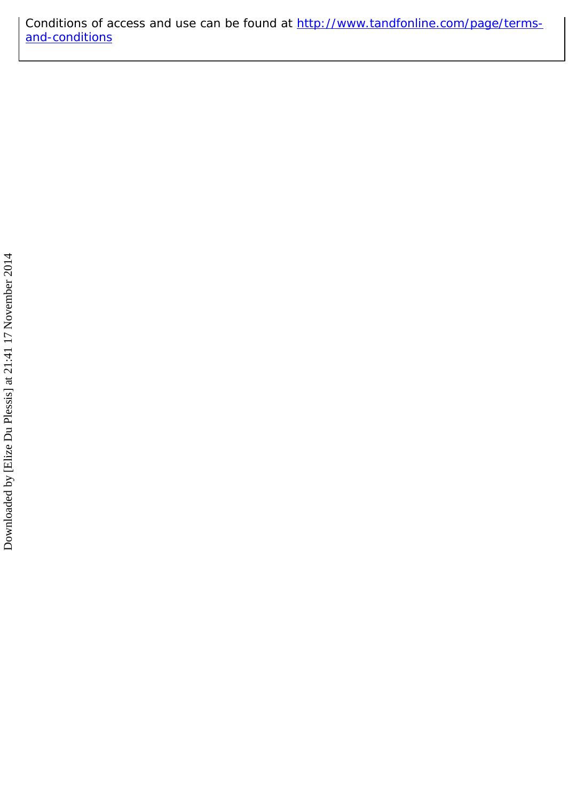Conditions of access and use can be found at [http://www.tandfonline.com/page/terms](http://www.tandfonline.com/page/terms-and-conditions)[and-conditions](http://www.tandfonline.com/page/terms-and-conditions)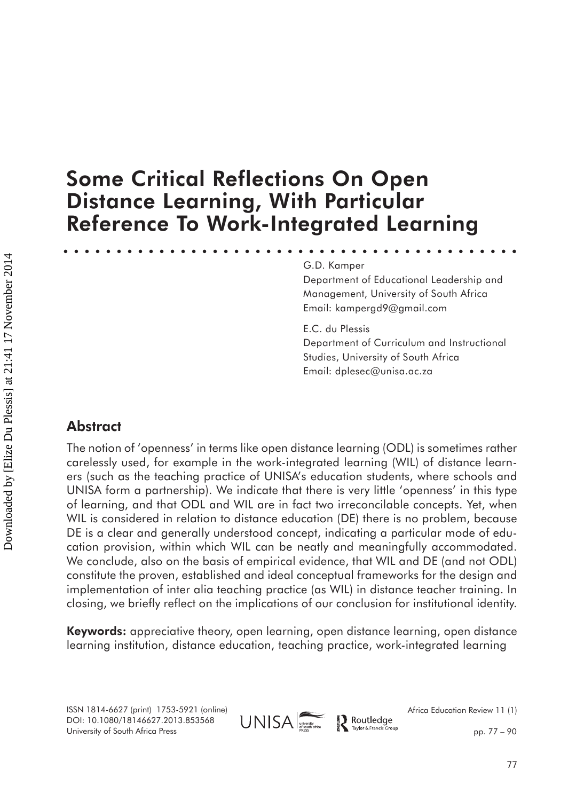# Some Critical Reflections On Open Distance Learning, With Particular Reference To Work-Integrated Learning

G.D. Kamper

Department of Educational Leadership and Management, University of South Africa Email: kampergd9 @gmail.com

. . . . . . . . . .

E.C. du Plessis Department of Curriculum and Instructional Studies, University of South Africa Email: dplesec@unisa.ac.za

#### Abstract

The notion of 'openness' in terms like open distance learning (ODL) is sometimes rather carelessly used, for example in the work-integrated learning (WIL) of distance learners (such as the teaching practice of UNISA's education students, where schools and UNISA form a partnership). We indicate that there is very little 'openness' in this type of learning, and that ODL and WIL are in fact two irreconcilable concepts. Yet, when WIL is considered in relation to distance education (DE) there is no problem, because DE is a clear and generally understood concept, indicating a particular mode of education provision, within which WIL can be neatly and meaningfully accommodated. We conclude, also on the basis of empirical evidence, that WIL and DE (and not ODL) constitute the proven, established and ideal conceptual frameworks for the design and implementation of inter alia teaching practice (as WIL) in distance teacher training. In closing, we briefly reflect on the implications of our conclusion for institutional identity.

Keywords: appreciative theory, open learning, open distance learning, open distance learning institution, distance education, teaching practice, work-integrated learning

ISSN 1814-6627 (print) 1753-5921 (online) DOI: 10.1080/18146627.2013.853568 University of South Africa Press

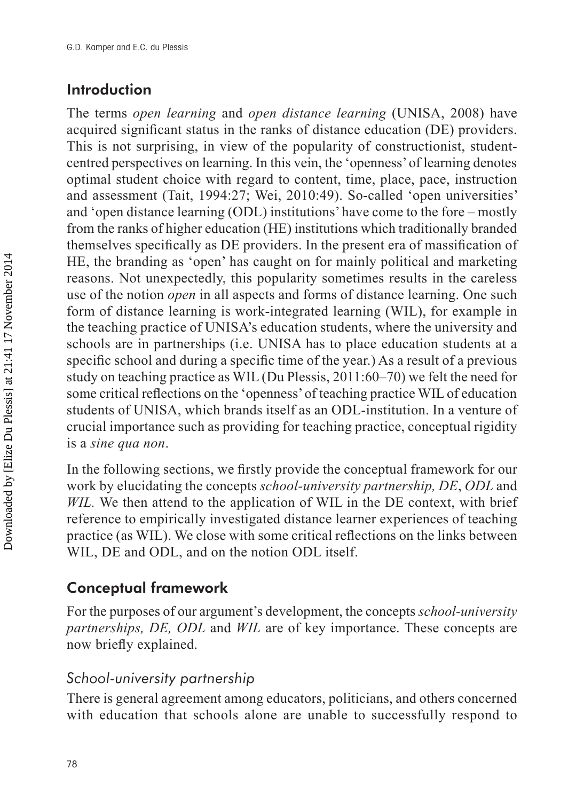# Introduction

The terms *open learning* and *open distance learning* (UNISA, 2008) have acquired significant status in the ranks of distance education (DE) providers. This is not surprising, in view of the popularity of constructionist, studentcentred perspectives on learning. In this vein, the 'openness' of learning denotes optimal student choice with regard to content, time, place, pace, instruction and assessment (Tait, 1994:27; Wei, 2010:49). So-called 'open universities' and 'open distance learning (ODL) institutions' have come to the fore – mostly from the ranks of higher education (HE) institutions which traditionally branded themselves specifically as DE providers. In the present era of massification of HE, the branding as 'open' has caught on for mainly political and marketing reasons. Not unexpectedly, this popularity sometimes results in the careless use of the notion *open* in all aspects and forms of distance learning. One such form of distance learning is work-integrated learning (WIL), for example in the teaching practice of UNISA's education students, where the university and schools are in partnerships (i.e. UNISA has to place education students at a specific school and during a specific time of the year.) As a result of a previous study on teaching practice as WIL (Du Plessis, 2011:60–70) we felt the need for some critical reflections on the 'openness' of teaching practice WIL of education students of UNISA, which brands itself as an ODL-institution. In a venture of crucial importance such as providing for teaching practice, conceptual rigidity is a *sine qua non*.

In the following sections, we firstly provide the conceptual framework for our work by elucidating the concepts *school-university partnership, DE*, *ODL* and *WIL.* We then attend to the application of WIL in the DE context, with brief reference to empirically investigated distance learner experiences of teaching practice (as WIL). We close with some critical reflections on the links between WIL, DE and ODL, and on the notion ODL itself.

# Conceptual framework

For the purposes of our argument's development, the concepts *school-university partnerships, DE, ODL* and *WIL* are of key importance. These concepts are now briefly explained.

## *School-university partnership*

There is general agreement among educators, politicians, and others concerned with education that schools alone are unable to successfully respond to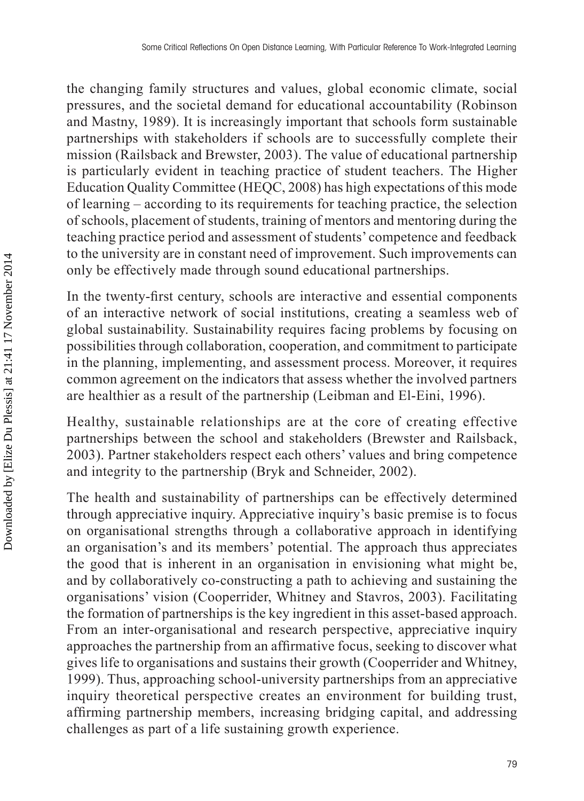the changing family structures and values, global economic climate, social pressures, and the societal demand for educational accountability (Robinson and Mastny, 1989). It is increasingly important that schools form sustainable partnerships with stakeholders if schools are to successfully complete their mission (Railsback and Brewster, 2003). The value of educational partnership is particularly evident in teaching practice of student teachers. The Higher Education Quality Committee (HEQC, 2008) has high expectations of this mode of learning – according to its requirements for teaching practice, the selection of schools, placement of students, training of mentors and mentoring during the teaching practice period and assessment of students' competence and feedback to the university are in constant need of improvement. Such improvements can only be effectively made through sound educational partnerships.

In the twenty-first century, schools are interactive and essential components of an interactive network of social institutions, creating a seamless web of global sustainability. Sustainability requires facing problems by focusing on possibilities through collaboration, cooperation, and commitment to participate in the planning, implementing, and assessment process. Moreover, it requires common agreement on the indicators that assess whether the involved partners are healthier as a result of the partnership (Leibman and El-Eini, 1996).

Healthy, sustainable relationships are at the core of creating effective partnerships between the school and stakeholders (Brewster and Railsback, 2003). Partner stakeholders respect each others' values and bring competence and integrity to the partnership (Bryk and Schneider, 2002).

The health and sustainability of partnerships can be effectively determined through appreciative inquiry. Appreciative inquiry's basic premise is to focus on organisational strengths through a collaborative approach in identifying an organisation's and its members' potential. The approach thus appreciates the good that is inherent in an organisation in envisioning what might be, and by collaboratively co-constructing a path to achieving and sustaining the organisations' vision (Cooperrider, Whitney and Stavros, 2003). Facilitating the formation of partnerships is the key ingredient in this asset-based approach. From an inter-organisational and research perspective, appreciative inquiry approaches the partnership from an affirmative focus, seeking to discover what gives life to organisations and sustains their growth (Cooperrider and Whitney, 1999). Thus, approaching school-university partnerships from an appreciative inquiry theoretical perspective creates an environment for building trust, affirming partnership members, increasing bridging capital, and addressing challenges as part of a life sustaining growth experience.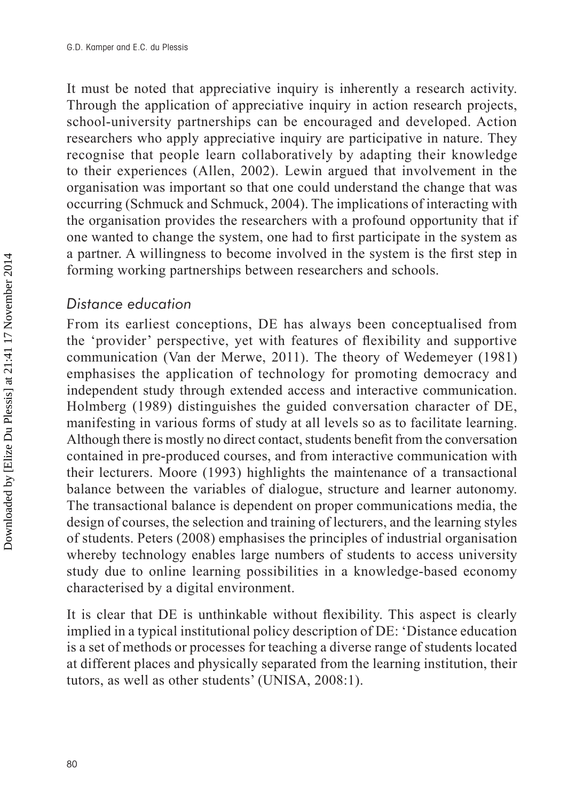It must be noted that appreciative inquiry is inherently a research activity. Through the application of appreciative inquiry in action research projects, school-university partnerships can be encouraged and developed. Action researchers who apply appreciative inquiry are participative in nature. They recognise that people learn collaboratively by adapting their knowledge to their experiences (Allen, 2002). Lewin argued that involvement in the organisation was important so that one could understand the change that was occurring (Schmuck and Schmuck, 2004). The implications of interacting with the organisation provides the researchers with a profound opportunity that if one wanted to change the system, one had to first participate in the system as a partner. A willingness to become involved in the system is the first step in forming working partnerships between researchers and schools.

#### *Distance education*

From its earliest conceptions, DE has always been conceptualised from the 'provider' perspective, yet with features of flexibility and supportive communication (Van der Merwe, 2011). The theory of Wedemeyer (1981) emphasises the application of technology for promoting democracy and independent study through extended access and interactive communication. Holmberg (1989) distinguishes the guided conversation character of DE, manifesting in various forms of study at all levels so as to facilitate learning. Although there is mostly no direct contact, students benefit from the conversation contained in pre-produced courses, and from interactive communication with their lecturers. Moore (1993) highlights the maintenance of a transactional balance between the variables of dialogue, structure and learner autonomy. The transactional balance is dependent on proper communications media, the design of courses, the selection and training of lecturers, and the learning styles of students. Peters (2008) emphasises the principles of industrial organisation whereby technology enables large numbers of students to access university study due to online learning possibilities in a knowledge-based economy characterised by a digital environment.

It is clear that DE is unthinkable without flexibility. This aspect is clearly implied in a typical institutional policy description of DE: 'Distance education is a set of methods or processes for teaching a diverse range of students located at different places and physically separated from the learning institution, their tutors, as well as other students' (UNISA, 2008:1).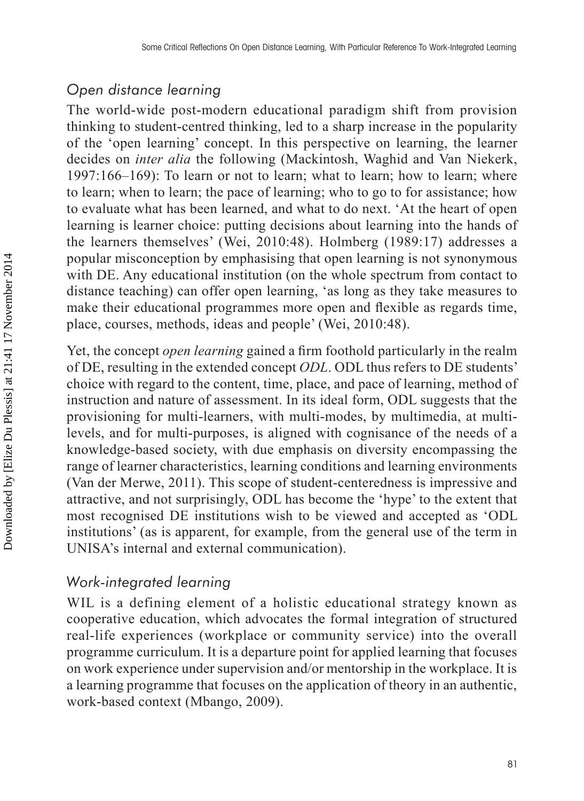# *Open distance learning*

The world-wide post-modern educational paradigm shift from provision thinking to student-centred thinking, led to a sharp increase in the popularity of the 'open learning' concept. In this perspective on learning, the learner decides on *inter alia* the following (Mackintosh, Waghid and Van Niekerk, 1997:166–169): To learn or not to learn; what to learn; how to learn; where to learn; when to learn; the pace of learning; who to go to for assistance; how to evaluate what has been learned, and what to do next. 'At the heart of open learning is learner choice: putting decisions about learning into the hands of the learners themselves' (Wei, 2010:48). Holmberg (1989:17) addresses a popular misconception by emphasising that open learning is not synonymous with DE. Any educational institution (on the whole spectrum from contact to distance teaching) can offer open learning, 'as long as they take measures to make their educational programmes more open and flexible as regards time, place, courses, methods, ideas and people' (Wei, 2010:48).

Yet, the concept *open learning* gained a firm foothold particularly in the realm of DE, resulting in the extended concept *ODL*. ODL thus refers to DE students' choice with regard to the content, time, place, and pace of learning, method of instruction and nature of assessment. In its ideal form, ODL suggests that the provisioning for multi-learners, with multi-modes, by multimedia, at multilevels, and for multi-purposes, is aligned with cognisance of the needs of a knowledge-based society, with due emphasis on diversity encompassing the range of learner characteristics, learning conditions and learning environments (Van der Merwe, 2011). This scope of student-centeredness is impressive and attractive, and not surprisingly, ODL has become the 'hype' to the extent that most recognised DE institutions wish to be viewed and accepted as 'ODL institutions' (as is apparent, for example, from the general use of the term in UNISA's internal and external communication).

# *Work-integrated learning*

WIL is a defining element of a holistic educational strategy known as cooperative education, which advocates the formal integration of structured real-life experiences (workplace or community service) into the overall programme curriculum. It is a departure point for applied learning that focuses on work experience under supervision and/or mentorship in the workplace. It is a learning programme that focuses on the application of theory in an authentic, work-based context (Mbango, 2009).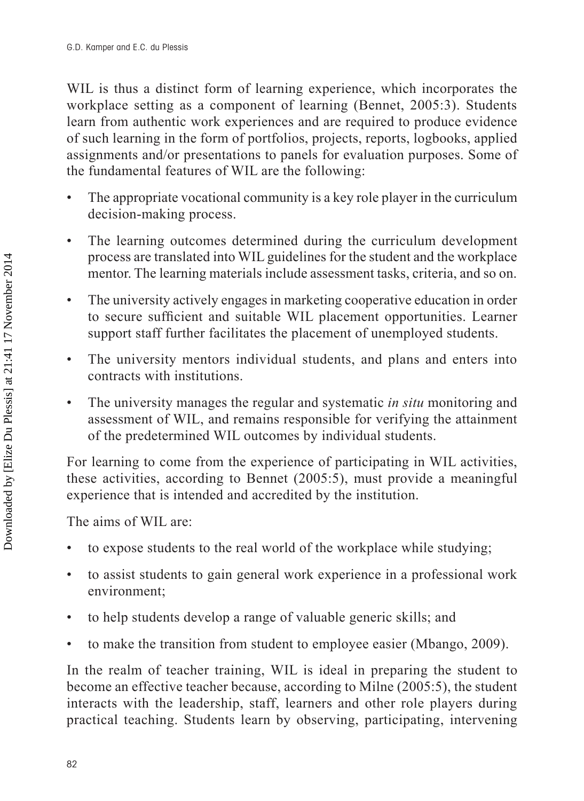WIL is thus a distinct form of learning experience, which incorporates the workplace setting as a component of learning (Bennet, 2005:3). Students learn from authentic work experiences and are required to produce evidence of such learning in the form of portfolios, projects, reports, logbooks, applied assignments and/or presentations to panels for evaluation purposes. Some of the fundamental features of WIL are the following:

- The appropriate vocational community is a key role player in the curriculum decision-making process.
- The learning outcomes determined during the curriculum development process are translated into WIL guidelines for the student and the workplace mentor. The learning materials include assessment tasks, criteria, and so on.
- The university actively engages in marketing cooperative education in order to secure sufficient and suitable WIL placement opportunities. Learner support staff further facilitates the placement of unemployed students.
- The university mentors individual students, and plans and enters into contracts with institutions.
- The university manages the regular and systematic *in situ* monitoring and assessment of WIL, and remains responsible for verifying the attainment of the predetermined WIL outcomes by individual students.

For learning to come from the experience of participating in WIL activities, these activities, according to Bennet (2005:5), must provide a meaningful experience that is intended and accredited by the institution.

The aims of WIL are:

- to expose students to the real world of the workplace while studying;
- to assist students to gain general work experience in a professional work environment;
- to help students develop a range of valuable generic skills; and
- to make the transition from student to employee easier (Mbango, 2009).

In the realm of teacher training, WIL is ideal in preparing the student to become an effective teacher because, according to Milne (2005:5), the student interacts with the leadership, staff, learners and other role players during practical teaching. Students learn by observing, participating, intervening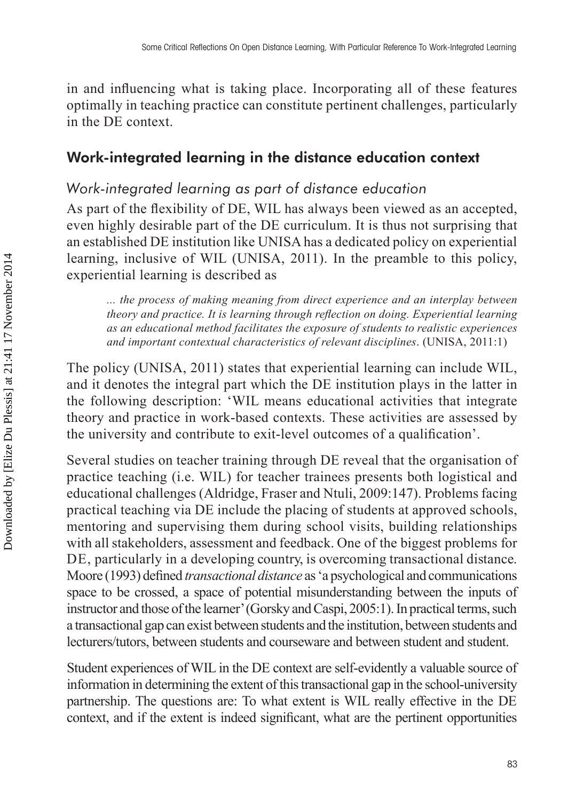in and influencing what is taking place. Incorporating all of these features optimally in teaching practice can constitute pertinent challenges, particularly in the DE context.

## Work-integrated learning in the distance education context

## *Work-integrated learning as part of distance education*

As part of the flexibility of DE, WIL has always been viewed as an accepted, even highly desirable part of the DE curriculum. It is thus not surprising that an established DE institution like UNISA has a dedicated policy on experiential learning, inclusive of WIL (UNISA, 2011). In the preamble to this policy, experiential learning is described as

*... the process of making meaning from direct experience and an interplay between theory and practice. It is learning through reflection on doing. Experiential learning as an educational method facilitates the exposure of students to realistic experiences and important contextual characteristics of relevant disciplines*. (UNISA, 2011:1)

The policy (UNISA, 2011) states that experiential learning can include WIL, and it denotes the integral part which the DE institution plays in the latter in the following description: 'WIL means educational activities that integrate theory and practice in work-based contexts. These activities are assessed by the university and contribute to exit-level outcomes of a qualification'.

Several studies on teacher training through DE reveal that the organisation of practice teaching (i.e. WIL) for teacher trainees presents both logistical and educational challenges (Aldridge, Fraser and Ntuli, 2009:147). Problems facing practical teaching via DE include the placing of students at approved schools, mentoring and supervising them during school visits, building relationships with all stakeholders, assessment and feedback. One of the biggest problems for DE, particularly in a developing country, is overcoming transactional distance. Moore (1993) defined *transactional distance* as 'a psychological and communications space to be crossed, a space of potential misunderstanding between the inputs of instructor and those of the learner' (Gorsky and Caspi, 2005:1). In practical terms, such a transactional gap can exist between students and the institution, between students and lecturers/tutors, between students and courseware and between student and student.

Student experiences of WIL in the DE context are self-evidently a valuable source of information in determining the extent of this transactional gap in the school-university partnership. The questions are: To what extent is WIL really effective in the DE context, and if the extent is indeed significant, what are the pertinent opportunities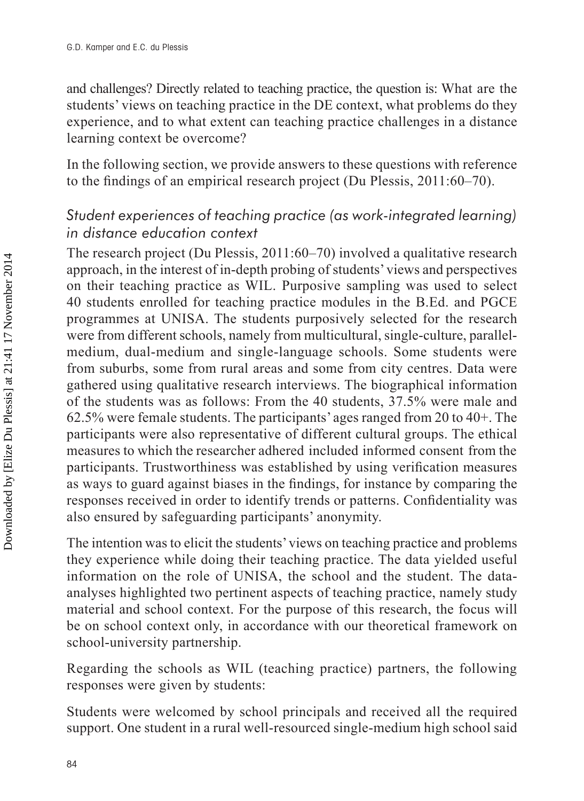and challenges? Directly related to teaching practice, the question is: What are the students' views on teaching practice in the DE context, what problems do they experience, and to what extent can teaching practice challenges in a distance learning context be overcome?

In the following section, we provide answers to these questions with reference to the findings of an empirical research project (Du Plessis, 2011:60–70).

## *Student experiences of teaching practice (as work-integrated learning) in distance education context*

The research project (Du Plessis, 2011:60–70) involved a qualitative research approach, in the interest of in-depth probing of students' views and perspectives on their teaching practice as WIL. Purposive sampling was used to select 40 students enrolled for teaching practice modules in the B.Ed. and PGCE programmes at UNISA. The students purposively selected for the research were from different schools, namely from multicultural, single-culture, parallelmedium, dual-medium and single-language schools. Some students were from suburbs, some from rural areas and some from city centres. Data were gathered using qualitative research interviews. The biographical information of the students was as follows: From the 40 students, 37.5% were male and 62.5% were female students. The participants' ages ranged from 20 to 40+. The participants were also representative of different cultural groups. The ethical measures to which the researcher adhered included informed consent from the participants. Trustworthiness was established by using verification measures as ways to guard against biases in the findings, for instance by comparing the responses received in order to identify trends or patterns. Confidentiality was also ensured by safeguarding participants' anonymity.

The intention was to elicit the students' views on teaching practice and problems they experience while doing their teaching practice. The data yielded useful information on the role of UNISA, the school and the student. The dataanalyses highlighted two pertinent aspects of teaching practice, namely study material and school context. For the purpose of this research, the focus will be on school context only, in accordance with our theoretical framework on school-university partnership.

Regarding the schools as WIL (teaching practice) partners, the following responses were given by students:

Students were welcomed by school principals and received all the required support. One student in a rural well-resourced single-medium high school said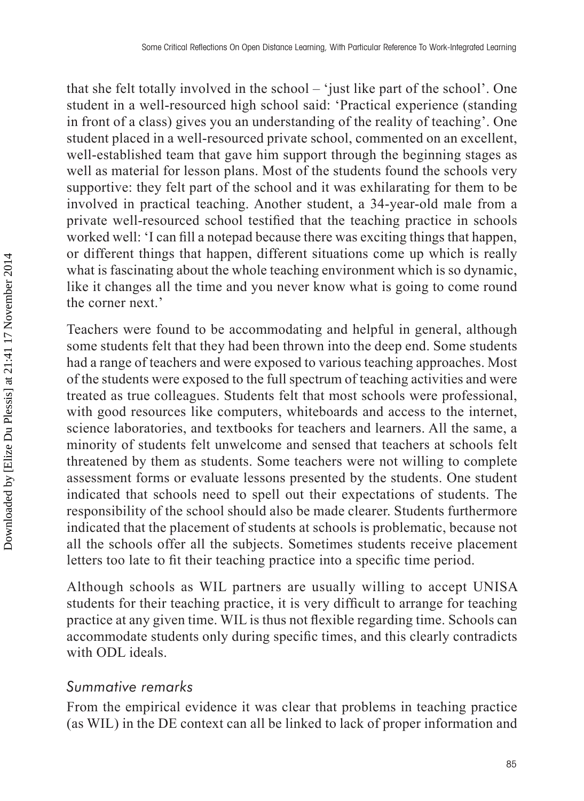that she felt totally involved in the school – 'just like part of the school'. One student in a well-resourced high school said: 'Practical experience (standing in front of a class) gives you an understanding of the reality of teaching'. One student placed in a well-resourced private school, commented on an excellent, well-established team that gave him support through the beginning stages as well as material for lesson plans. Most of the students found the schools very supportive: they felt part of the school and it was exhilarating for them to be involved in practical teaching. Another student, a 34-year-old male from a private well-resourced school testified that the teaching practice in schools worked well: 'I can fill a notepad because there was exciting things that happen, or different things that happen, different situations come up which is really what is fascinating about the whole teaching environment which is so dynamic, like it changes all the time and you never know what is going to come round the corner next.'

Teachers were found to be accommodating and helpful in general, although some students felt that they had been thrown into the deep end. Some students had a range of teachers and were exposed to various teaching approaches. Most of the students were exposed to the full spectrum of teaching activities and were treated as true colleagues. Students felt that most schools were professional, with good resources like computers, whiteboards and access to the internet, science laboratories, and textbooks for teachers and learners. All the same, a minority of students felt unwelcome and sensed that teachers at schools felt threatened by them as students. Some teachers were not willing to complete assessment forms or evaluate lessons presented by the students. One student indicated that schools need to spell out their expectations of students. The responsibility of the school should also be made clearer. Students furthermore indicated that the placement of students at schools is problematic, because not all the schools offer all the subjects. Sometimes students receive placement letters too late to fit their teaching practice into a specific time period.

Although schools as WIL partners are usually willing to accept UNISA students for their teaching practice, it is very difficult to arrange for teaching practice at any given time. WIL is thus not flexible regarding time. Schools can accommodate students only during specific times, and this clearly contradicts with ODL ideals.

## *Summative remarks*

From the empirical evidence it was clear that problems in teaching practice (as WIL) in the DE context can all be linked to lack of proper information and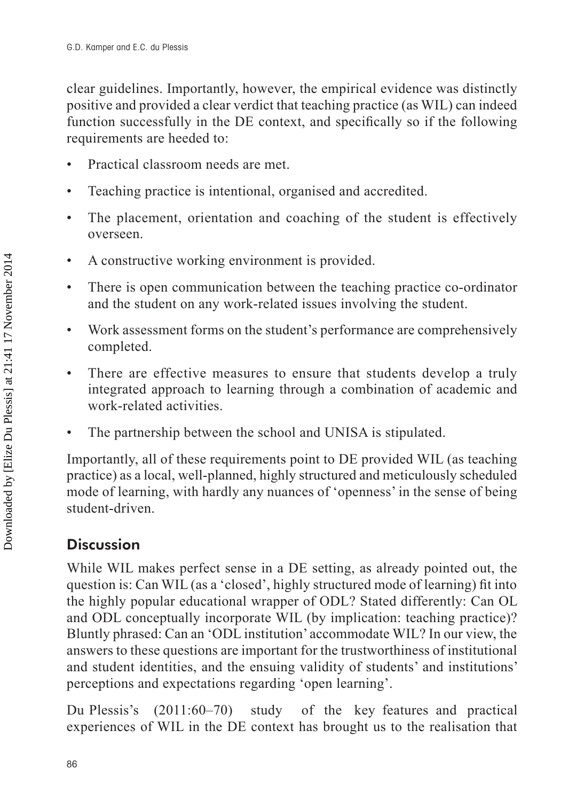clear guidelines. Importantly, however, the empirical evidence was distinctly positive and provided a clear verdict that teaching practice (as WIL) can indeed function successfully in the DE context, and specifically so if the following requirements are heeded to:

- Practical classroom needs are met.
- Teaching practice is intentional, organised and accredited.
- The placement, orientation and coaching of the student is effectively overseen.
- A constructive working environment is provided.
- There is open communication between the teaching practice co-ordinator and the student on any work-related issues involving the student.
- Work assessment forms on the student's performance are comprehensively completed.
- There are effective measures to ensure that students develop a truly integrated approach to learning through a combination of academic and work-related activities.
- The partnership between the school and UNISA is stipulated.

Importantly, all of these requirements point to DE provided WIL (as teaching practice) as a local, well-planned, highly structured and meticulously scheduled mode of learning, with hardly any nuances of 'openness' in the sense of being student-driven.

### **Discussion**

While WIL makes perfect sense in a DE setting, as already pointed out, the question is: Can WIL (as a 'closed', highly structured mode of learning) fit into the highly popular educational wrapper of ODL? Stated differently: Can OL and ODL conceptually incorporate WIL (by implication: teaching practice)? Bluntly phrased: Can an 'ODL institution' accommodate WIL? In our view, the answers to these questions are important for the trustworthiness of institutional and student identities, and the ensuing validity of students' and institutions' perceptions and expectations regarding 'open learning'.

Du Plessis's (2011:60–70) study of the key features and practical experiences of WIL in the DE context has brought us to the realisation that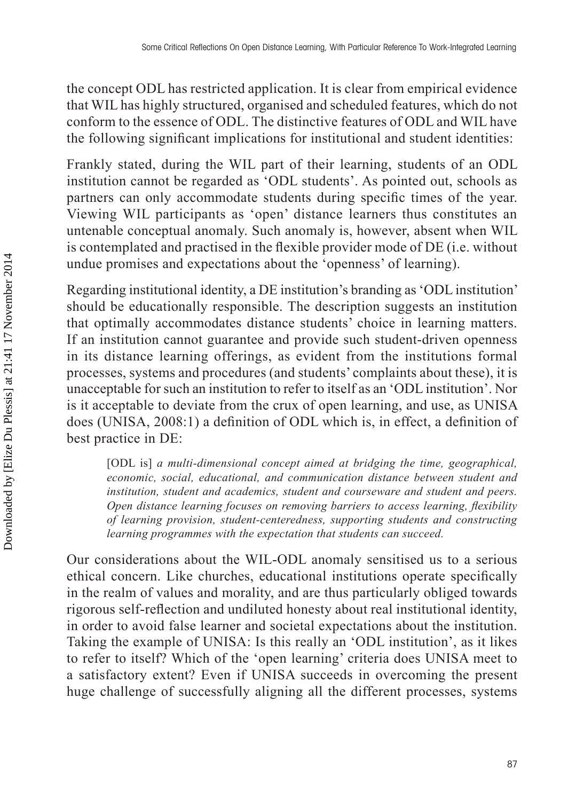the concept ODL has restricted application. It is clear from empirical evidence that WIL has highly structured, organised and scheduled features, which do not conform to the essence of ODL. The distinctive features of ODL and WIL have the following significant implications for institutional and student identities:

Frankly stated, during the WIL part of their learning, students of an ODL institution cannot be regarded as 'ODL students'. As pointed out, schools as partners can only accommodate students during specific times of the year. Viewing WIL participants as 'open' distance learners thus constitutes an untenable conceptual anomaly. Such anomaly is, however, absent when WIL is contemplated and practised in the flexible provider mode of DE (i.e. without undue promises and expectations about the 'openness' of learning).

Regarding institutional identity, a DE institution's branding as 'ODL institution' should be educationally responsible. The description suggests an institution that optimally accommodates distance students' choice in learning matters. If an institution cannot guarantee and provide such student-driven openness in its distance learning offerings, as evident from the institutions formal processes, systems and procedures (and students' complaints about these), it is unacceptable for such an institution to refer to itself as an 'ODL institution'. Nor is it acceptable to deviate from the crux of open learning, and use, as UNISA does (UNISA, 2008:1) a definition of ODL which is, in effect, a definition of best practice in DE:

[ODL is] *a multi-dimensional concept aimed at bridging the time, geographical, economic, social, educational, and communication distance between student and institution, student and academics, student and courseware and student and peers. Open distance learning focuses on removing barriers to access learning, flexibility of learning provision, student-centeredness, supporting students and constructing learning programmes with the expectation that students can succeed.*

Our considerations about the WIL-ODL anomaly sensitised us to a serious ethical concern. Like churches, educational institutions operate specifically in the realm of values and morality, and are thus particularly obliged towards rigorous self-reflection and undiluted honesty about real institutional identity, in order to avoid false learner and societal expectations about the institution. Taking the example of UNISA: Is this really an 'ODL institution', as it likes to refer to itself? Which of the 'open learning' criteria does UNISA meet to a satisfactory extent? Even if UNISA succeeds in overcoming the present huge challenge of successfully aligning all the different processes, systems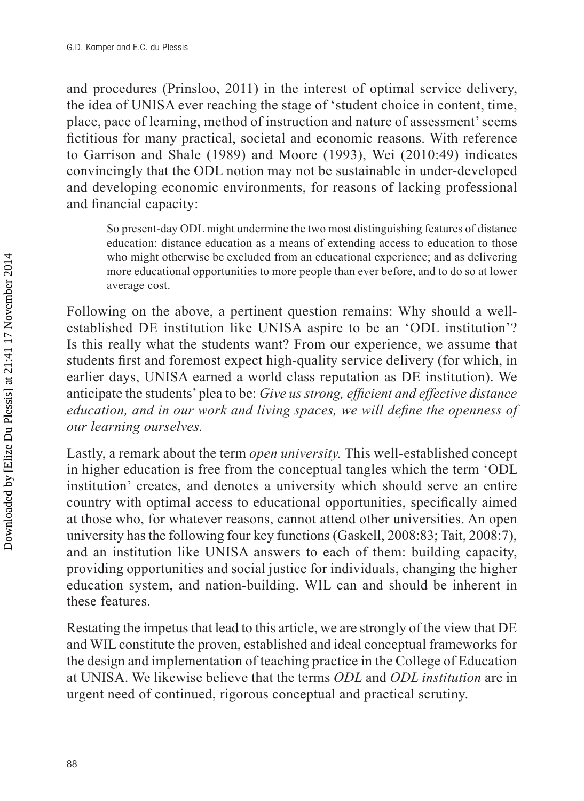and procedures (Prinsloo, 2011) in the interest of optimal service delivery, the idea of UNISA ever reaching the stage of 'student choice in content, time, place, pace of learning, method of instruction and nature of assessment' seems fictitious for many practical, societal and economic reasons. With reference to Garrison and Shale (1989) and Moore (1993), Wei (2010:49) indicates convincingly that the ODL notion may not be sustainable in under-developed and developing economic environments, for reasons of lacking professional and financial capacity:

So present-day ODL might undermine the two most distinguishing features of distance education: distance education as a means of extending access to education to those who might otherwise be excluded from an educational experience; and as delivering more educational opportunities to more people than ever before, and to do so at lower average cost.

Following on the above, a pertinent question remains: Why should a wellestablished DE institution like UNISA aspire to be an 'ODL institution'? Is this really what the students want? From our experience, we assume that students first and foremost expect high-quality service delivery (for which, in earlier days, UNISA earned a world class reputation as DE institution). We anticipate the students' plea to be: *Give us strong, efficient and effective distance education, and in our work and living spaces, we will define the openness of our learning ourselves.* 

Lastly, a remark about the term *open university.* This well-established concept in higher education is free from the conceptual tangles which the term 'ODL institution' creates, and denotes a university which should serve an entire country with optimal access to educational opportunities, specifically aimed at those who, for whatever reasons, cannot attend other universities. An open university has the following four key functions (Gaskell, 2008:83; Tait, 2008:7), and an institution like UNISA answers to each of them: building capacity, providing opportunities and social justice for individuals, changing the higher education system, and nation-building. WIL can and should be inherent in these features.

Restating the impetus that lead to this article, we are strongly of the view that DE and WIL constitute the proven, established and ideal conceptual frameworks for the design and implementation of teaching practice in the College of Education at UNISA. We likewise believe that the terms *ODL* and *ODL institution* are in urgent need of continued, rigorous conceptual and practical scrutiny.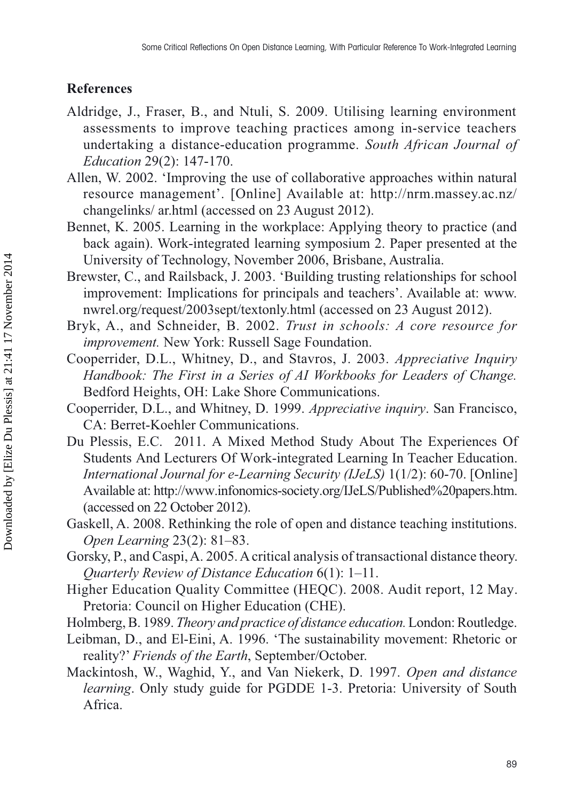#### **References**

- Aldridge, J., Fraser, B., and Ntuli, S. 2009. Utilising learning environment assessments to improve teaching practices among in-service teachers undertaking a distance-education programme. *South African Journal of Education* 29(2): 147-170.
- Allen, W. 2002. 'Improving the use of collaborative approaches within natural resource management'. [Online] Available at: http://nrm.massey.ac.nz/ changelinks/ ar.html (accessed on 23 August 2012).
- Bennet, K. 2005. Learning in the workplace: Applying theory to practice (and back again). Work-integrated learning symposium 2. Paper presented at the University of Technology, November 2006, Brisbane, Australia.
- Brewster, C., and Railsback, J. 2003. 'Building trusting relationships for school improvement: Implications for principals and teachers'. Available at: www. nwrel.org/request/2003sept/textonly.html (accessed on 23 August 2012).
- Bryk, A., and Schneider, B. 2002. *Trust in schools: A core resource for improvement.* New York: Russell Sage Foundation.
- Cooperrider, D.L., Whitney, D., and Stavros, J. 2003. *Appreciative Inquiry Handbook: The First in a Series of AI Workbooks for Leaders of Change.* Bedford Heights, OH: Lake Shore Communications.
- Cooperrider, D.L., and Whitney, D. 1999. *Appreciative inquiry*. San Francisco, CA: Berret-Koehler Communications.
- Du Plessis, E.C. 2011. A Mixed Method Study About The Experiences Of Students And Lecturers Of Work-integrated Learning In Teacher Education. *International Journal for e-Learning Security (IJeLS)* 1(1/2): 60-70. [Online] Available at: http://www.infonomics-society.org/IJeLS/Published%20papers.htm. (accessed on 22 October 2012).
- Gaskell, A. 2008. Rethinking the role of open and distance teaching institutions. *Open Learning* 23(2): 81–83.
- Gorsky, P., and Caspi, A. 2005. A critical analysis of transactional distance theory. *Quarterly Review of Distance Education* 6(1): 1–11.
- Higher Education Quality Committee (HEQC). 2008. Audit report, 12 May. Pretoria: Council on Higher Education (CHE).

Holmberg, B. 1989. *Theory and practice of distance education.* London: Routledge.

- Leibman, D., and El-Eini, A. 1996. 'The sustainability movement: Rhetoric or reality?' *Friends of the Earth*, September/October.
- Mackintosh, W., Waghid, Y., and Van Niekerk, D. 1997. *Open and distance learning*. Only study guide for PGDDE 1-3. Pretoria: University of South Africa.